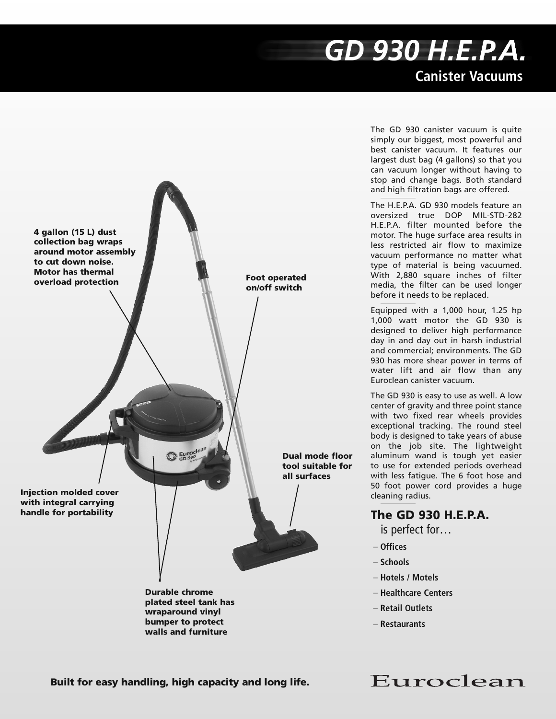## GD 930 H.E.P.A. **Canister Vacuums**



The GD 930 canister vacuum is quite simply our biggest, most powerful and best canister vacuum. It features our largest dust bag (4 gallons) so that you can vacuum longer without having to stop and change bags. Both standard and high filtration bags are offered.

The H.E.P.A. GD 930 models feature an oversized true DOP MIL-STD-282 H.E.P.A. filter mounted before the motor. The huge surface area results in less restricted air flow to maximize vacuum performance no matter what type of material is being vacuumed. With 2,880 square inches of filter media, the filter can be used longer before it needs to be replaced.

Equipped with a 1,000 hour, 1.25 hp 1,000 watt motor the GD 930 is designed to deliver high performance day in and day out in harsh industrial and commercial; environments. The GD 930 has more shear power in terms of water lift and air flow than any Euroclean canister vacuum.

The GD 930 is easy to use as well. A low center of gravity and three point stance with two fixed rear wheels provides exceptional tracking. The round steel body is designed to take years of abuse on the job site. The lightweight aluminum wand is tough yet easier to use for extended periods overhead with less fatigue. The 6 foot hose and 50 foot power cord provides a huge cleaning radius.

## **The GD 930 H.E.P.A.**

is perfect for…

- **– Offices**
- **– Schools**
- **– Hotels / Motels**
- **– Healthcare Centers**
- **– Retail Outlets**
- **– Restaurants**

**Built for easy handling, high capacity and long life.**

Euroclean